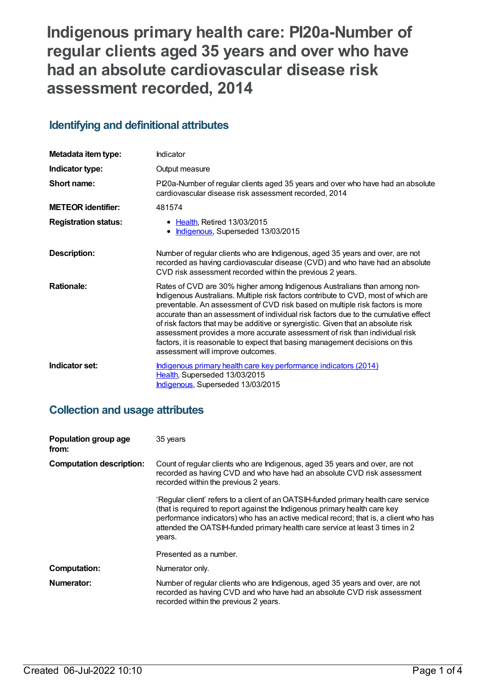**Indigenous primary health care: PI20a-Number of regular clients aged 35 years and over who have had an absolute cardiovascular disease risk assessment recorded, 2014**

## **Identifying and definitional attributes**

| Metadata item type:         | Indicator                                                                                                                                                                                                                                                                                                                                                                                                                                                                                                                                                                                                                      |
|-----------------------------|--------------------------------------------------------------------------------------------------------------------------------------------------------------------------------------------------------------------------------------------------------------------------------------------------------------------------------------------------------------------------------------------------------------------------------------------------------------------------------------------------------------------------------------------------------------------------------------------------------------------------------|
| Indicator type:             | Output measure                                                                                                                                                                                                                                                                                                                                                                                                                                                                                                                                                                                                                 |
| Short name:                 | PI20a-Number of regular clients aged 35 years and over who have had an absolute<br>cardiovascular disease risk assessment recorded, 2014                                                                                                                                                                                                                                                                                                                                                                                                                                                                                       |
| <b>METEOR identifier:</b>   | 481574                                                                                                                                                                                                                                                                                                                                                                                                                                                                                                                                                                                                                         |
| <b>Registration status:</b> | • Health, Retired 13/03/2015<br>Indigenous, Superseded 13/03/2015                                                                                                                                                                                                                                                                                                                                                                                                                                                                                                                                                              |
| <b>Description:</b>         | Number of regular clients who are Indigenous, aged 35 years and over, are not<br>recorded as having cardiovascular disease (CVD) and who have had an absolute<br>CVD risk assessment recorded within the previous 2 years.                                                                                                                                                                                                                                                                                                                                                                                                     |
| <b>Rationale:</b>           | Rates of CVD are 30% higher among Indigenous Australians than among non-<br>Indigenous Australians. Multiple risk factors contribute to CVD, most of which are<br>preventable. An assessment of CVD risk based on multiple risk factors is more<br>accurate than an assessment of individual risk factors due to the cumulative effect<br>of risk factors that may be additive or synergistic. Given that an absolute risk<br>assessment provides a more accurate assessment of risk than individual risk<br>factors, it is reasonable to expect that basing management decisions on this<br>assessment will improve outcomes. |
| Indicator set:              | Indigenous primary health care key performance indicators (2014)<br>Health, Superseded 13/03/2015<br>Indigenous, Superseded 13/03/2015                                                                                                                                                                                                                                                                                                                                                                                                                                                                                         |

## **Collection and usage attributes**

| Population group age<br>from:   | 35 years                                                                                                                                                                                                                                                                                                                                           |
|---------------------------------|----------------------------------------------------------------------------------------------------------------------------------------------------------------------------------------------------------------------------------------------------------------------------------------------------------------------------------------------------|
| <b>Computation description:</b> | Count of regular clients who are Indigenous, aged 35 years and over, are not<br>recorded as having CVD and who have had an absolute CVD risk assessment<br>recorded within the previous 2 years.                                                                                                                                                   |
|                                 | 'Regular client' refers to a client of an OATSIH-funded primary health care service<br>(that is required to report against the Indigenous primary health care key<br>performance indicators) who has an active medical record; that is, a client who has<br>attended the OATSIH-funded primary health care service at least 3 times in 2<br>years. |
|                                 | Presented as a number.                                                                                                                                                                                                                                                                                                                             |
| <b>Computation:</b>             | Numerator only.                                                                                                                                                                                                                                                                                                                                    |
| Numerator:                      | Number of regular clients who are Indigenous, aged 35 years and over, are not<br>recorded as having CVD and who have had an absolute CVD risk assessment<br>recorded within the previous 2 years.                                                                                                                                                  |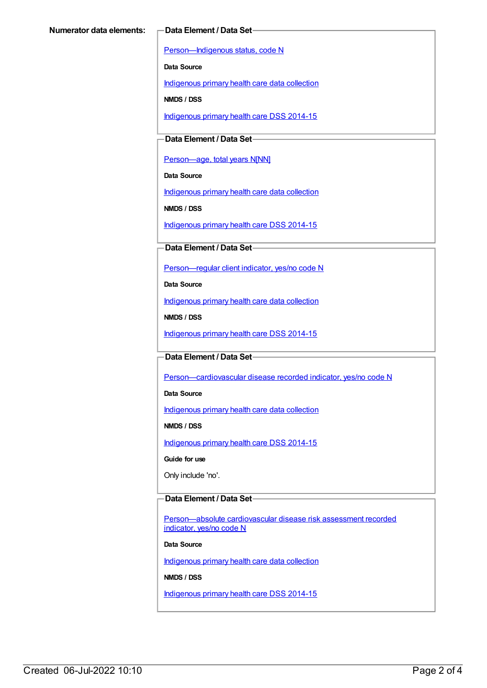[Person—Indigenous](https://meteor.aihw.gov.au/content/291036) status, code N

**Data Source**

[Indigenous](https://meteor.aihw.gov.au/content/430643) primary health care data collection

**NMDS / DSS**

[Indigenous](https://meteor.aihw.gov.au/content/504325) primary health care DSS 2014-15

## **Data Element / Data Set**

[Person—age,](https://meteor.aihw.gov.au/content/303794) total years N[NN]

**Data Source**

[Indigenous](https://meteor.aihw.gov.au/content/430643) primary health care data collection

**NMDS / DSS**

[Indigenous](https://meteor.aihw.gov.au/content/504325) primary health care DSS 2014-15

### **Data Element / Data Set**

[Person—regular](https://meteor.aihw.gov.au/content/436639) client indicator, yes/no code N

**Data Source**

[Indigenous](https://meteor.aihw.gov.au/content/430643) primary health care data collection

**NMDS / DSS**

[Indigenous](https://meteor.aihw.gov.au/content/504325) primary health care DSS 2014-15

### **Data Element / Data Set**

Person-cardiovascular disease recorded indicator, yes/no code N

**Data Source**

[Indigenous](https://meteor.aihw.gov.au/content/430643) primary health care data collection

**NMDS / DSS**

[Indigenous](https://meteor.aihw.gov.au/content/504325) primary health care DSS 2014-15

**Guide for use**

Only include 'no'.

### **Data Element / Data Set**

[Person—absolute](https://meteor.aihw.gov.au/content/503024) cardiovascular disease risk assessment recorded indicator, yes/no code N

#### **Data Source**

[Indigenous](https://meteor.aihw.gov.au/content/430643) primary health care data collection

**NMDS / DSS**

[Indigenous](https://meteor.aihw.gov.au/content/504325) primary health care DSS 2014-15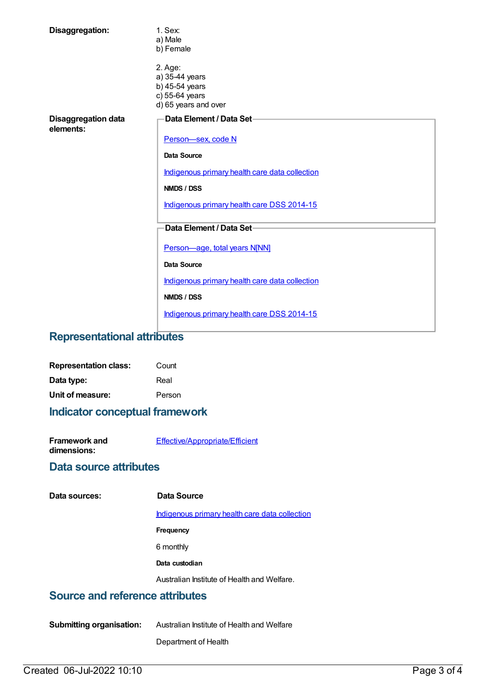| Disaggregation:                         | 1. Sex:<br>a) Male<br>b) Female                                                       |
|-----------------------------------------|---------------------------------------------------------------------------------------|
|                                         | 2. Age:<br>a) 35-44 years<br>b) 45-54 years<br>c) 55-64 years<br>d) 65 years and over |
| <b>Disaggregation data</b><br>elements: | Data Element / Data Set-                                                              |
|                                         | Person-sex, code N                                                                    |
|                                         | <b>Data Source</b>                                                                    |
|                                         | Indigenous primary health care data collection                                        |
|                                         | NMDS / DSS                                                                            |
|                                         | Indigenous primary health care DSS 2014-15                                            |
|                                         | Data Element / Data Set-                                                              |
|                                         | Person-age, total years N[NN]                                                         |
|                                         | <b>Data Source</b>                                                                    |
|                                         | Indigenous primary health care data collection                                        |
|                                         | NMDS / DSS                                                                            |
|                                         | Indigenous primary health care DSS 2014-15                                            |

# **Representational attributes**

| <b>Representation class:</b> | Count  |
|------------------------------|--------|
| Data type:                   | Real   |
| Unit of measure:             | Person |

# **Indicator conceptual framework**

| <b>Framework and</b> | <b>Effective/Appropriate/Efficient</b> |
|----------------------|----------------------------------------|
| dimensions:          |                                        |

## **Data source attributes**

#### **Data Source**

[Indigenous](https://meteor.aihw.gov.au/content/430643) primary health care data collection

**Frequency**

6 monthly

**Data custodian**

Australian Institute of Health and Welfare.

## **Source and reference attributes**

**Submitting organisation:** Australian Institute of Health and Welfare Department of Health